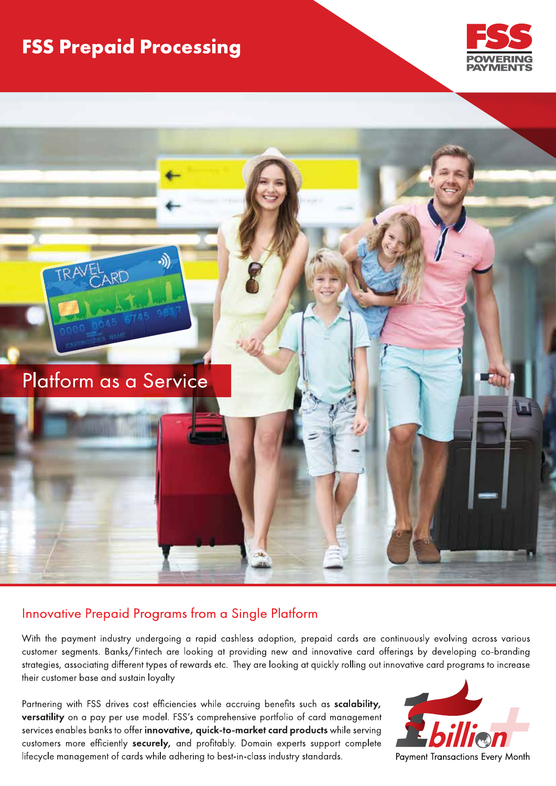# **FSS Prepaid Processing**





### Innovative Prepaid Programs from a Single Platform

With the payment industry undergoing a rapid cashless adoption, prepaid cards are continuously evolving across various customer segments. Banks/Fintech are looking at providing new and innovative card offerings by developing co-branding strategies, associating different types of rewards etc. They are looking at quickly rolling out innovative card programs to increase their customer base and sustain loyalty

Partnering with FSS drives cost efficiencies while accruing benefits such as scalability, versatility on a pay per use model. FSS's comprehensive portfolio of card management services enables banks to offer innovative, quick-to-market card products while serving customers more efficiently securely, and profitably. Domain experts support complete lifecycle management of cards while adhering to best-in-class industry standards.

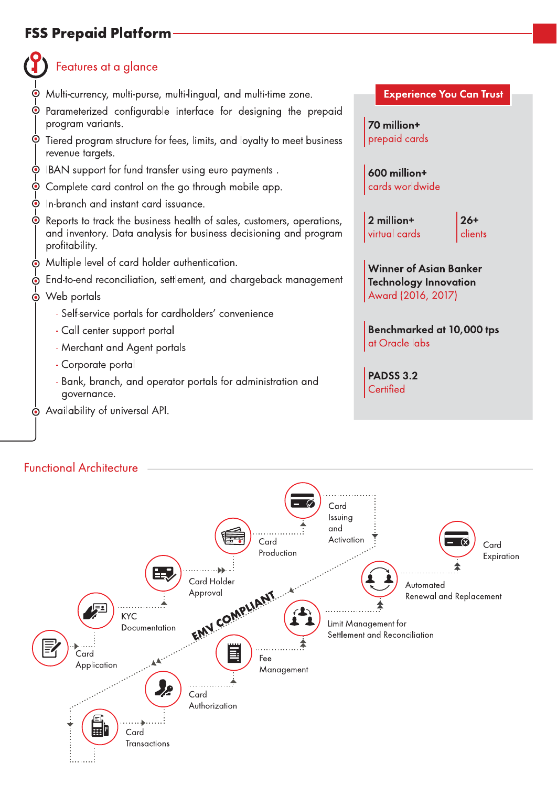# **FSS Prepaid Platform**

# Features at a glance

- Multi-currency, multi-purse, multi-lingual, and multi-time zone.
- Parameterized configurable interface for designing the prepaid program variants.
- $\odot$ Tiered program structure for fees, limits, and loyalty to meet business revenue targets.
- IBAN support for fund transfer using euro payments.  $\odot$
- Complete card control on the go through mobile app.  $\odot$
- $\dot{\mathbf{C}}$ In-branch and instant card issuance.
- Reports to track the business health of sales, customers, operations, and inventory. Data analysis for business decisioning and program profitability.
- Multiple level of card holder authentication.
- End-to-end reconciliation, settlement, and chargeback management
- $\dot{\bullet}$  Web portals
	- Self-service portals for cardholders' convenience
	- Call center support portal
	- Merchant and Agent portals
	- Corporate portal
	- Bank, branch, and operator portals for administration and governance.
- No Availability of universal API.

#### **Experience You Can Trust**

70 million+ prepaid cards

600 million+ cards worldwide

2 million+ virtual cards  $26+$ clients

**Winner of Asian Banker Technology Innovation** Award (2016, 2017)

Benchmarked at 10,000 tps at Oracle labs

**PADSS 3.2** Certified

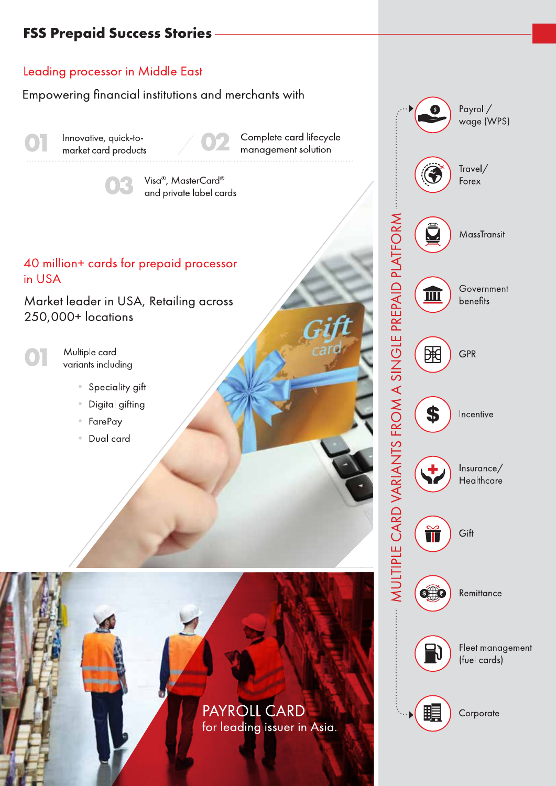# **FSS Prepaid Success Stories**

### Leading processor in Middle East

Empowering financial institutions and merchants with

Innovative, quick-tomarket card products

Complete card lifecycle management solution

Visa<sup>®</sup>, MasterCard<sup>®</sup> and private label cards

### 40 million+ cards for prepaid processor in USA

Market leader in USA, Retailing across 250,000+ locations

Multiple card variants including

- Speciality gift
- Digital gifting
- FarePay
- Dual card

PAYROLL CARD for leading issuer in Asia.